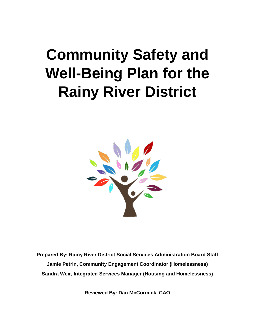# **Community Safety and Well-Being Plan for the Rainy River District**



**Prepared By: Rainy River District Social Services Administration Board Staff Jamie Petrin, Community Engagement Coordinator (Homelessness) Sandra Weir, Integrated Services Manager (Housing and Homelessness)**

**Reviewed By: Dan McCormick, CAO**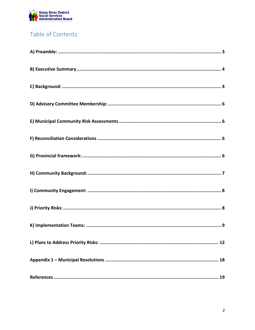

# Table of Contents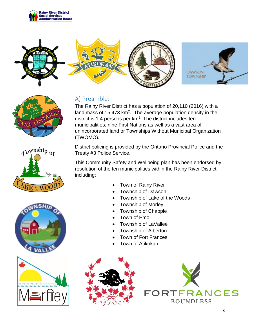





# <span id="page-2-0"></span>A) Preamble:

The Rainy River District has a population of 20,110 (2016) with a land mass of 15,473  $km^2$ . The average population density in the district is 1.4 persons per  $km<sup>2</sup>$ . The district includes ten municipalities, nine First Nations as well as a vast area of unincorporated land or Townships Without Municipal Organization (TWOMO).

District policing is provided by the Ontario Provincial Police and the Treaty #3 Police Service.

This Community Safety and Wellbeing plan has been endorsed by resolution of the ten municipalities within the Rainy River District including:

- Town of Rainy River
- Township of Dawson
- Township of Lake of the Woods
- Township of Morley
- Township of Chapple
- Town of Emo
- Township of LaVallee
- Township of Alberton
- Town of Fort Frances
- Town of Atikokan









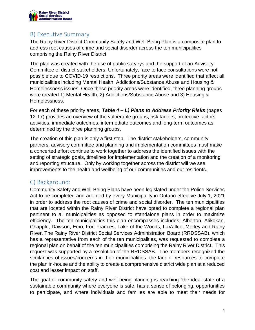

## <span id="page-3-0"></span>B) Executive Summary

The Rainy River District Community Safety and Well-Being Plan is a composite plan to address root causes of crime and social disorder across the ten municipalities comprising the Rainy River District.

The plan was created with the use of public surveys and the support of an Advisory Committee of district stakeholders. Unfortunately, face to face consultations were not possible due to COVID-19 restrictions. Three priority areas were identified that affect all municipalities including Mental Health, Addictions/Substance Abuse and Housing & Homelessness issues. Once these priority areas were identified, three planning groups were created 1) Mental Health, 2) Addictions/Substance Abuse and 3) Housing & Homelessness.

For each of these priority areas, *Table 4 – L) Plans to Address Priority Risks* (pages 12-17) provides an overview of the vulnerable groups, risk factors, protective factors, activities, immediate outcomes, intermediate outcomes and long-term outcomes as determined by the three planning groups.

The creation of this plan is only a first step. The district stakeholders, community partners, advisory committee and planning and implementation committees must make a concerted effort continue to work together to address the identified issues with the setting of strategic goals, timelines for implementation and the creation of a monitoring and reporting structure. Only by working together across the district will we see improvements to the health and wellbeing of our communities and our residents.

## <span id="page-3-1"></span>C) Background:

Community Safety and Well-Being Plans have been legislated under the Police Services Act to be completed and adopted by every Municipality in Ontario effective July 1, 2021 in order to address the root causes of crime and social disorder. The ten municipalities that are located within the Rainy River District have opted to complete a regional plan pertinent to all municipalities as opposed to standalone plans in order to maximize efficiency. The ten municipalities this plan encompasses includes: Alberton, Atikokan, Chapple, Dawson, Emo, Fort Frances, Lake of the Woods, LaVallee, Morley and Rainy River. The Rainy River District Social Services Administration Board (RRDSSAB), which has a representative from each of the ten municipalities, was requested to complete a regional plan on behalf of the ten municipalities comprising the Rainy River District. This request was supported by a resolution of the RRDSSAB. The members recognized the similarities of issues/concerns in their municipalities, the lack of resources to complete the plan in-house and the ability to create a comprehensive district wide plan at a reduced cost and lesser impact on staff.

The goal of community safety and well-being planning is reaching "the ideal state of a sustainable community where everyone is safe, has a sense of belonging, opportunities to participate, and where individuals and families are able to meet their needs for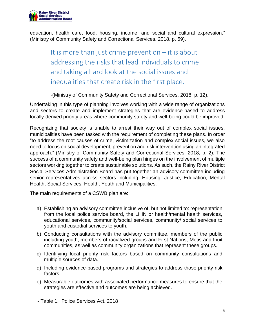

education, health care, food, housing, income, and social and cultural expression." (Ministry of Community Safety and Correctional Services, 2018, p. 59).

> It is more than just crime prevention – it is about addressing the risks that lead individuals to crime and taking a hard look at the social issues and inequalities that create risk in the first place.

-(Ministry of Community Safety and Correctional Services, 2018, p. 12).

Undertaking in this type of planning involves working with a wide range of organizations and sectors to create and implement strategies that are evidence-based to address locally-derived priority areas where community safety and well-being could be improved.

Recognizing that society is unable to arrest their way out of complex social issues, municipalities have been tasked with the requirement of completing these plans. In order "to address the root causes of crime, victimization and complex social issues, we also need to focus on social development, prevention and risk intervention using an integrated approach." (Ministry of Community Safety and Correctional Services, 2018, p. 2). The success of a community safety and well-being plan hinges on the involvement of multiple sectors working together to create sustainable solutions. As such, the Rainy River District Social Services Administration Board has put together an advisory committee including senior representatives across sectors including: Housing, Justice, Education, Mental Health, Social Services, Health, Youth and Municipalities.

The main requirements of a CSWB plan are:

- a) Establishing an advisory committee inclusive of, but not limited to: representation from the local police service board, the LHIN or health/mental health services, educational services, community/social services, community/ social services to youth and custodial services to youth.
- b) Conducting consultations with the advisory committee, members of the public including youth, members of racialized groups and First Nations, Metis and Inuit communities, as well as community organizations that represent these groups.
- c) Identifying local priority risk factors based on community consultations and multiple sources of data.
- d) Including evidence-based programs and strategies to address those priority risk factors.
- e) Measurable outcomes with associated performance measures to ensure that the strategies are effective and outcomes are being achieved.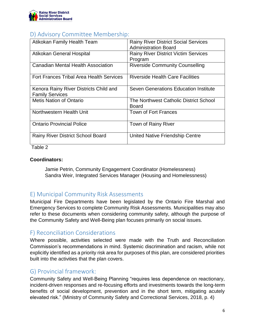

## <span id="page-5-0"></span>D) Advisory Committee Membership:

| Atikokan Family Health Team                                      | <b>Rainy River District Social Services</b><br><b>Administration Board</b> |
|------------------------------------------------------------------|----------------------------------------------------------------------------|
| Atikokan General Hospital                                        | <b>Rainy River District Victim Services</b><br>Program                     |
| <b>Canadian Mental Health Association</b>                        | <b>Riverside Community Counselling</b>                                     |
| Fort Frances Tribal Area Health Services                         | <b>Riverside Health Care Facilities</b>                                    |
| Kenora Rainy River Districts Child and<br><b>Family Services</b> | Seven Generations Education Institute                                      |
| <b>Metis Nation of Ontario</b>                                   | The Northwest Catholic District School<br><b>Board</b>                     |
| Northwestern Health Unit                                         | <b>Town of Fort Frances</b>                                                |
| <b>Ontario Provincial Police</b>                                 | Town of Rainy River                                                        |
| <b>Rainy River District School Board</b>                         | United Native Friendship Centre                                            |

Table 2

#### **Coordinators:**

Jamie Petrin, Community Engagement Coordinator (Homelessness) Sandra Weir, Integrated Services Manager (Housing and Homelessness)

# <span id="page-5-1"></span>E) Municipal Community Risk Assessments

Municipal Fire Departments have been legislated by the Ontario Fire Marshal and Emergency Services to complete Community Risk Assessments. Municipalities may also refer to these documents when considering community safety, although the purpose of the Community Safety and Well-Being plan focuses primarily on social issues.

#### <span id="page-5-2"></span>F) Reconciliation Considerations

Where possible, activities selected were made with the Truth and Reconciliation Commission's recommendations in mind. Systemic discrimination and racism, while not explicitly identified as a priority risk area for purposes of this plan, are considered priorities built into the activities that the plan covers.

## <span id="page-5-3"></span>G) Provincial framework:

Community Safety and Well-Being Planning "requires less dependence on reactionary, incident-driven responses and re-focusing efforts and investments towards the long-term benefits of social development, prevention and in the short term, mitigating acutely elevated risk." (Ministry of Community Safety and Correctional Services, 2018, p. 4)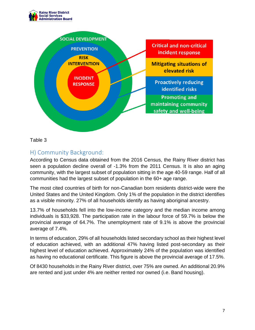



Table 3

## <span id="page-6-0"></span>H) Community Background:

According to Census data obtained from the 2016 Census, the Rainy River district has seen a population decline overall of -1.3% from the 2011 Census. It is also an aging community, with the largest subset of population sitting in the age 40-59 range. Half of all communities had the largest subset of population in the 60+ age range.

The most cited countries of birth for non-Canadian born residents district-wide were the United States and the United Kingdom. Only 1% of the population in the district identifies as a visible minority. 27% of all households identify as having aboriginal ancestry.

13.7% of households fell into the low-income category and the median income among individuals is \$33,928. The participation rate in the labour force of 59.7% is below the provincial average of 64.7%. The unemployment rate of 9.1% is above the provincial average of 7.4%.

In terms of education, 29% of all households listed secondary school as their highest level of education achieved, with an additional 47% having listed post-secondary as their highest level of education achieved. Approximately 24% of the population was identified as having no educational certificate. This figure is above the provincial average of 17.5%.

Of 8430 households in the Rainy River district, over 75% are owned. An additional 20.9% are rented and just under 4% are neither rented nor owned (i.e. Band housing).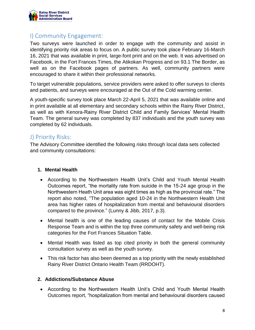

#### <span id="page-7-0"></span>I) Community Engagement:

Two surveys were launched in order to engage with the community and assist in identifying priority risk areas to focus on. A public survey took place February 16-March 16, 2021 that was available in print, large-font print and on the web. It was advertised on Facebook, in the Fort Frances Times, the Atikokan Progress and on 93.1 The Border, as well as on the Facebook pages of partners. As well, community partners were encouraged to share it within their professional networks.

To target vulnerable populations, service providers were asked to offer surveys to clients and patients, and surveys were encouraged at the Out of the Cold warming center.

A youth-specific survey took place March 22-April 5, 2021 that was available online and in print available at all elementary and secondary schools within the Rainy River District, as well as with Kenora-Rainy River District Child and Family Services' Mental Health Team. The general survey was completed by 837 individuals and the youth survey was completed by 62 individuals.

#### <span id="page-7-1"></span>J) Priority Risks:

The Advisory Committee identified the following risks through local data sets collected and community consultations:

#### **1. Mental Health**

- According to the Northwestern Health Unit's Child and Youth Mental Health Outcomes report, "the mortality rate from suicide in the 15-24 age group in the Northwestern Heath Unit area was eight times as high as the provincial rate." The report also noted, "The population aged 10-24 in the Northwestern Health Unit area has higher rates of hospitalization from mental and behavioural disorders compared to the province." (Lunny & Jibb, 2017, p.3).
- Mental health is one of the leading causes of contact for the Mobile Crisis Response Team and is within the top three community safety and well-being risk categories for the Fort Frances Situation Table.
- Mental Health was listed as top cited priority in both the general community consultation survey as well as the youth survey.
- This risk factor has also been deemed as a top priority with the newly established Rainy River District Ontario Health Team (RRDOHT).

#### **2. Addictions/Substance Abuse**

 According to the Northwestern Health Unit's Child and Youth Mental Health Outcomes report, "hospitalization from mental and behavioural disorders caused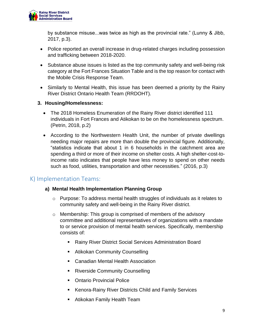

by substance misuse...was twice as high as the provincial rate." (Lunny & Jibb, 2017, p.3).

- Police reported an overall increase in drug-related charges including possession and trafficking between 2018-2020.
- Substance abuse issues is listed as the top community safety and well-being risk category at the Fort Frances Situation Table and is the top reason for contact with the Mobile Crisis Response Team.
- Similarly to Mental Health, this issue has been deemed a priority by the Rainy River District Ontario Health Team (RRDOHT).
- **3. Housing/Homelessness:**
	- The 2018 Homeless Enumeration of the Rainy River district identified 111 individuals in Fort Frances and Atikokan to be on the homelessness spectrum. (Petrin, 2018, p.2)
	- According to the Northwestern Health Unit, the number of private dwellings needing major repairs are more than double the provincial figure. Additionally, "statistics indicate that about 1 in 6 households in the catchment area are spending a third or more of their income on shelter costs. A high shelter-cost-toincome ratio indicates that people have less money to spend on other needs such as food, utilities, transportation and other necessities." (2016, p.3)

#### <span id="page-8-0"></span>K) Implementation Teams:

#### **a) Mental Health Implementation Planning Group**

- $\circ$  Purpose: To address mental health struggles of individuals as it relates to community safety and well-being in the Rainy River district.
- o Membership: This group is comprised of members of the advisory committee and additional representatives of organizations with a mandate to or service provision of mental health services. Specifically, membership consists of:
	- Rainy River District Social Services Administration Board
	- Atikokan Community Counselling
	- Canadian Mental Health Association
	- **Riverside Community Counselling**
	- Ontario Provincial Police
	- Kenora-Rainy River Districts Child and Family Services
	- Atikokan Family Health Team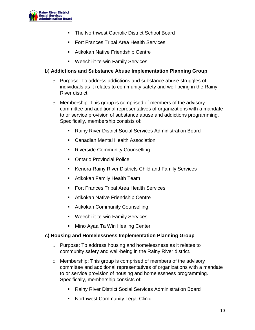

- **The Northwest Catholic District School Board**
- **Fort Frances Tribal Area Health Services**
- Atikokan Native Friendship Centre
- Weechi-it-te-win Family Services

#### b) **Addictions and Substance Abuse Implementation Planning Group**

- o Purpose: To address addictions and substance abuse struggles of individuals as it relates to community safety and well-being in the Rainy River district.
- o Membership: This group is comprised of members of the advisory committee and additional representatives of organizations with a mandate to or service provision of substance abuse and addictions programming. Specifically, membership consists of:
	- Rainy River District Social Services Administration Board
	- **E.** Canadian Mental Health Association
	- **Riverside Community Counselling**
	- Ontario Provincial Police
	- Kenora-Rainy River Districts Child and Family Services
	- Atikokan Family Health Team
	- **Fort Frances Tribal Area Health Services**
	- Atikokan Native Friendship Centre
	- **Atikokan Community Counselling**
	- Weechi-it-te-win Family Services
	- Mino Ayaa Ta Win Healing Center

#### **c) Housing and Homelessness Implementation Planning Group**

- o Purpose: To address housing and homelessness as it relates to community safety and well-being in the Rainy River district.
- o Membership: This group is comprised of members of the advisory committee and additional representatives of organizations with a mandate to or service provision of housing and homelessness programming. Specifically, membership consists of:
	- Rainy River District Social Services Administration Board
	- Northwest Community Legal Clinic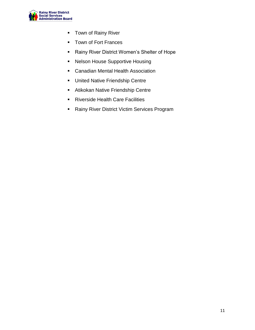

- **Town of Rainy River**
- **Town of Fort Frances**
- **Rainy River District Women's Shelter of Hope**
- Nelson House Supportive Housing
- Canadian Mental Health Association
- **United Native Friendship Centre**
- **Atikokan Native Friendship Centre**
- **Riverside Health Care Facilities**
- **Rainy River District Victim Services Program**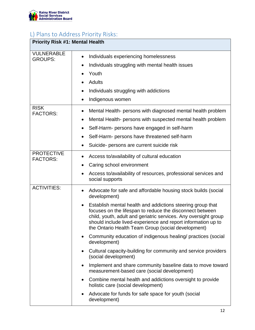

# <span id="page-11-0"></span>L) Plans to Address Priority Risks:

| <b>Priority Risk #1: Mental Health</b> |                                                                                                                                                                                                                                                                                                                                                                                                                                                                                                                                                                                                                                                                                                                                                                                                                                                                                                                                         |  |
|----------------------------------------|-----------------------------------------------------------------------------------------------------------------------------------------------------------------------------------------------------------------------------------------------------------------------------------------------------------------------------------------------------------------------------------------------------------------------------------------------------------------------------------------------------------------------------------------------------------------------------------------------------------------------------------------------------------------------------------------------------------------------------------------------------------------------------------------------------------------------------------------------------------------------------------------------------------------------------------------|--|
| <b>VULNERABLE</b><br><b>GROUPS:</b>    | Individuals experiencing homelessness<br>$\bullet$<br>Individuals struggling with mental health issues<br>٠<br>Youth<br><b>Adults</b><br>Individuals struggling with addictions<br>Indigenous women                                                                                                                                                                                                                                                                                                                                                                                                                                                                                                                                                                                                                                                                                                                                     |  |
| <b>RISK</b><br><b>FACTORS:</b>         | Mental Health- persons with diagnosed mental health problem<br>٠<br>Mental Health- persons with suspected mental health problem<br>$\bullet$<br>Self-Harm- persons have engaged in self-harm<br>Self-Harm- persons have threatened self-harm<br>Suicide- persons are current suicide risk                                                                                                                                                                                                                                                                                                                                                                                                                                                                                                                                                                                                                                               |  |
| <b>PROTECTIVE</b><br><b>FACTORS:</b>   | Access to/availability of cultural education<br>Caring school environment<br>Access to/availability of resources, professional services and<br>social supports                                                                                                                                                                                                                                                                                                                                                                                                                                                                                                                                                                                                                                                                                                                                                                          |  |
| <b>ACTIVITIES:</b>                     | Advocate for safe and affordable housing stock builds (social<br>development)<br>Establish mental health and addictions steering group that<br>$\bullet$<br>focuses on the lifespan to reduce the disconnect between<br>child, youth, adult and geriatric services. Any oversight group<br>should include lived-experience and report information up to<br>the Ontario Health Team Group (social development)<br>Community education of indigenous healing/ practices (social<br>$\bullet$<br>development)<br>Cultural capacity-building for community and service providers<br>$\bullet$<br>(social development)<br>Implement and share community baseline data to move toward<br>$\bullet$<br>measurement-based care (social development)<br>Combine mental health and addictions oversight to provide<br>٠<br>holistic care (social development)<br>Advocate for funds for safe space for youth (social<br>$\bullet$<br>development) |  |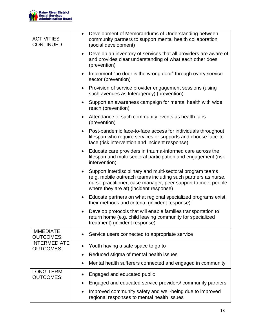

| <b>ACTIVITIES</b><br><b>CONTINUED</b>   | Development of Memorandums of Understanding between<br>$\bullet$<br>community partners to support mental health collaboration<br>(social development)                                                                                               |
|-----------------------------------------|-----------------------------------------------------------------------------------------------------------------------------------------------------------------------------------------------------------------------------------------------------|
|                                         | Develop an inventory of services that all providers are aware of<br>$\bullet$<br>and provides clear understanding of what each other does<br>(prevention)                                                                                           |
|                                         | Implement "no door is the wrong door" through every service<br>$\bullet$<br>sector (prevention)                                                                                                                                                     |
|                                         | Provision of service provider engagement sessions (using<br>$\bullet$<br>such avenues as Interagency) (prevention)                                                                                                                                  |
|                                         | Support an awareness campaign for mental health with wide<br>$\bullet$<br>reach (prevention)                                                                                                                                                        |
|                                         | Attendance of such community events as health fairs<br>$\bullet$<br>(prevention)                                                                                                                                                                    |
|                                         | Post-pandemic face-to-face access for individuals throughout<br>$\bullet$<br>lifespan who require services or supports and choose face-to-<br>face (risk intervention and incident response)                                                        |
|                                         | Educate care providers in trauma-informed care across the<br>$\bullet$<br>lifespan and multi-sectoral participation and engagement (risk<br>intervention)                                                                                           |
|                                         | Support interdisciplinary and multi-sectoral program teams<br>$\bullet$<br>(e.g. mobile outreach teams including such partners as nurse,<br>nurse practitioner, case manager, peer support to meet people<br>where they are at) (incident response) |
|                                         | Educate partners on what regional specialized programs exist,<br>$\bullet$<br>their methods and criteria. (incident response)                                                                                                                       |
|                                         | Develop protocols that will enable families transportation to<br>return home (e.g. child leaving community for specialized<br>treatment) (incident response)                                                                                        |
| <b>IMMEDIATE</b><br><b>OUTCOMES:</b>    | Service users connected to appropriate service<br>٠                                                                                                                                                                                                 |
| <b>INTERMEDIATE</b><br><b>OUTCOMES:</b> | Youth having a safe space to go to<br>$\bullet$                                                                                                                                                                                                     |
|                                         | Reduced stigma of mental health issues                                                                                                                                                                                                              |
|                                         | Mental health sufferers connected and engaged in community                                                                                                                                                                                          |
| LONG-TERM<br><b>OUTCOMES:</b>           | Engaged and educated public                                                                                                                                                                                                                         |
|                                         | Engaged and educated service providers/community partners                                                                                                                                                                                           |
|                                         | Improved community safety and well-being due to improved<br>regional responses to mental health issues                                                                                                                                              |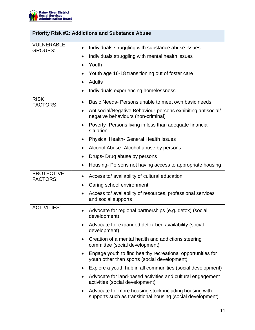

| <b>Priority Risk #2: Addictions and Substance Abuse</b> |                                                                                                                                                                                                                     |  |
|---------------------------------------------------------|---------------------------------------------------------------------------------------------------------------------------------------------------------------------------------------------------------------------|--|
| <b>VULNERABLE</b><br><b>GROUPS:</b>                     | Individuals struggling with substance abuse issues<br>Individuals struggling with mental health issues<br>٠<br>Youth<br>$\bullet$<br>Youth age 16-18 transitioning out of foster care<br><b>Adults</b><br>$\bullet$ |  |
|                                                         | Individuals experiencing homelessness                                                                                                                                                                               |  |
| <b>RISK</b><br><b>FACTORS:</b>                          | Basic Needs-Persons unable to meet own basic needs<br>$\bullet$<br>Antisocial/Negative Behaviour-persons exhibiting antisocial/<br>٠<br>negative behaviours (non-criminal)                                          |  |
|                                                         | Poverty- Persons living in less than adequate financial<br>$\bullet$<br>situation                                                                                                                                   |  |
|                                                         | <b>Physical Health- General Health Issues</b><br>$\bullet$                                                                                                                                                          |  |
|                                                         | Alcohol Abuse- Alcohol abuse by persons<br>٠                                                                                                                                                                        |  |
|                                                         | Drugs- Drug abuse by persons<br>$\bullet$                                                                                                                                                                           |  |
|                                                         | Housing-Persons not having access to appropriate housing<br>$\bullet$                                                                                                                                               |  |
| <b>PROTECTIVE</b><br><b>FACTORS:</b>                    | Access to/ availability of cultural education                                                                                                                                                                       |  |
|                                                         | Caring school environment<br>$\bullet$                                                                                                                                                                              |  |
|                                                         | Access to/ availability of resources, professional services<br>and social supports                                                                                                                                  |  |
| <b>ACTIVITIES:</b>                                      | Advocate for regional partnerships (e.g. detox) (social<br>development)                                                                                                                                             |  |
|                                                         | Advocate for expanded detox bed availability (social<br>development)                                                                                                                                                |  |
|                                                         | Creation of a mental health and addictions steering<br>$\bullet$<br>committee (social development)                                                                                                                  |  |
|                                                         | Engage youth to find healthy recreational opportunities for<br>youth other than sports (social development)                                                                                                         |  |
|                                                         | Explore a youth hub in all communities (social development)                                                                                                                                                         |  |
|                                                         | Advocate for land-based activities and cultural engagement<br>activities (social development)                                                                                                                       |  |
|                                                         | Advocate for more housing stock including housing with<br>supports such as transitional housing (social development)                                                                                                |  |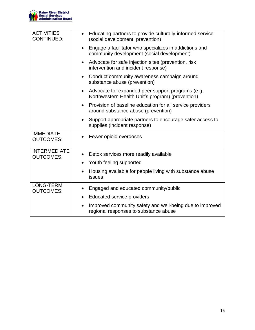

| <b>ACTIVITIES</b><br><b>CONTINUED:</b>  | Educating partners to provide culturally-informed service<br>(social development, prevention)                      |
|-----------------------------------------|--------------------------------------------------------------------------------------------------------------------|
|                                         | Engage a facilitator who specializes in addictions and<br>community development (social development)               |
|                                         | Advocate for safe injection sites (prevention, risk<br>$\bullet$<br>intervention and incident response)            |
|                                         | Conduct community awareness campaign around<br>$\bullet$<br>substance abuse (prevention)                           |
|                                         | Advocate for expanded peer support programs (e.g.<br>$\bullet$<br>Northwestern Health Unit's program) (prevention) |
|                                         | Provision of baseline education for all service providers<br>$\bullet$<br>around substance abuse (prevention)      |
|                                         | Support appropriate partners to encourage safer access to<br>٠<br>supplies (incident response)                     |
| <b>IMMEDIATE</b><br><b>OUTCOMES:</b>    | Fewer opioid overdoses                                                                                             |
| <b>INTERMEDIATE</b><br><b>OUTCOMES:</b> | Detox services more readily available<br>$\bullet$                                                                 |
|                                         | Youth feeling supported<br>$\bullet$                                                                               |
|                                         | Housing available for people living with substance abuse<br>issues                                                 |
| LONG-TERM<br><b>OUTCOMES:</b>           | Engaged and educated community/public                                                                              |
|                                         | <b>Educated service providers</b>                                                                                  |
|                                         | Improved community safety and well-being due to improved<br>$\bullet$<br>regional responses to substance abuse     |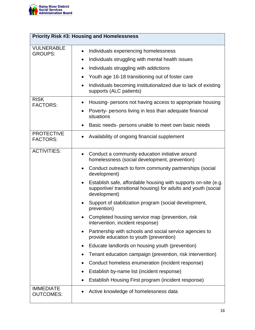

| <b>Priority Risk #3: Housing and Homelessness</b>  |                                                                                                                                                                                                                                                                                                                                                                                                                                                                                                                                                                                                                                                                                                                                                                                                                                                                                                                                                     |  |
|----------------------------------------------------|-----------------------------------------------------------------------------------------------------------------------------------------------------------------------------------------------------------------------------------------------------------------------------------------------------------------------------------------------------------------------------------------------------------------------------------------------------------------------------------------------------------------------------------------------------------------------------------------------------------------------------------------------------------------------------------------------------------------------------------------------------------------------------------------------------------------------------------------------------------------------------------------------------------------------------------------------------|--|
| <b>VULNERABLE</b><br><b>GROUPS:</b><br><b>RISK</b> | Individuals experiencing homelessness<br>$\bullet$<br>Individuals struggling with mental health issues<br>$\bullet$<br>Individuals struggling with addictions<br>٠<br>Youth age 16-18 transitioning out of foster care<br>$\bullet$<br>Individuals becoming institutionalized due to lack of existing<br>$\bullet$<br>supports (ALC patients)                                                                                                                                                                                                                                                                                                                                                                                                                                                                                                                                                                                                       |  |
| <b>FACTORS:</b>                                    | Housing- persons not having access to appropriate housing<br>Poverty- persons living in less than adequate financial<br>situations<br>Basic needs- persons unable to meet own basic needs                                                                                                                                                                                                                                                                                                                                                                                                                                                                                                                                                                                                                                                                                                                                                           |  |
| <b>PROTECTIVE</b><br><b>FACTORS:</b>               | Availability of ongoing financial supplement<br>$\bullet$                                                                                                                                                                                                                                                                                                                                                                                                                                                                                                                                                                                                                                                                                                                                                                                                                                                                                           |  |
| <b>ACTIVITIES:</b>                                 | Conduct a community education initiative around<br>$\bullet$<br>homelessness (social development, prevention)<br>Conduct outreach to form community partnerships (social<br>$\bullet$<br>development)<br>Establish safe, affordable housing with supports on-site (e.g.<br>supportive/ transitional housing) for adults and youth (social<br>development)<br>Support of stabilization program (social development,<br>prevention)<br>Completed housing service map (prevention, risk<br>intervention, incident response)<br>Partnership with schools and social service agencies to<br>$\bullet$<br>provide education to youth (prevention)<br>Educate landlords on housing youth (prevention)<br>$\bullet$<br>Tenant education campaign (prevention, risk intervention)<br>Conduct homeless enumeration (incident response)<br>٠<br>Establish by-name list (incident response)<br>$\bullet$<br>Establish Housing First program (incident response) |  |
| <b>IMMEDIATE</b><br><b>OUTCOMES:</b>               | Active knowledge of homelessness data                                                                                                                                                                                                                                                                                                                                                                                                                                                                                                                                                                                                                                                                                                                                                                                                                                                                                                               |  |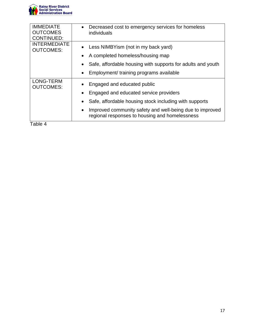

| <b>IMMEDIATE</b><br><b>OUTCOMES</b><br><b>CONTINUED:</b> | Decreased cost to emergency services for homeless<br>$\bullet$<br>individuals                                                                                                                                                                 |
|----------------------------------------------------------|-----------------------------------------------------------------------------------------------------------------------------------------------------------------------------------------------------------------------------------------------|
| <b>INTERMEDIATE</b><br><b>OUTCOMES:</b>                  | Less NIMBYism (not in my back yard)<br>A completed homeless/housing map                                                                                                                                                                       |
|                                                          | Safe, affordable housing with supports for adults and youth<br>Employment/ training programs available<br>$\bullet$                                                                                                                           |
| <b>LONG-TERM</b><br><b>OUTCOMES:</b>                     | Engaged and educated public<br>Engaged and educated service providers<br>Safe, affordable housing stock including with supports<br>Improved community safety and well-being due to improved<br>regional responses to housing and homelessness |
| Table 4                                                  |                                                                                                                                                                                                                                               |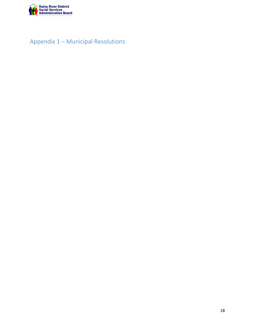

# <span id="page-17-0"></span>Appendix 1 – Municipal Resolutions